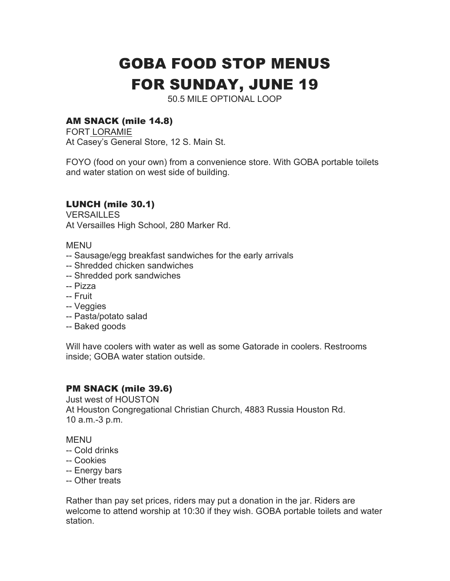# GOBA FOOD STOP MENUS FOR SUNDAY, JUNE 19

50.5 MILE OPTIONAL LOOP

## AM SNACK (mile 14.8)

FORT LORAMIE At Casey's General Store, 12 S. Main St.

FOYO (food on your own) from a convenience store. With GOBA portable toilets and water station on west side of building.

## LUNCH (mile 30.1)

VERSAILLES At Versailles High School, 280 Marker Rd.

MENU

- -- Sausage/egg breakfast sandwiches for the early arrivals
- -- Shredded chicken sandwiches
- -- Shredded pork sandwiches
- -- Pizza
- -- Fruit
- -- Veggies
- -- Pasta/potato salad
- -- Baked goods

Will have coolers with water as well as some Gatorade in coolers. Restrooms inside; GOBA water station outside.

## PM SNACK (mile 39.6)

Just west of HOUSTON At Houston Congregational Christian Church, 4883 Russia Houston Rd. 10 a.m.-3 p.m.

**MFNU** 

- -- Cold drinks
- -- Cookies
- -- Energy bars
- -- Other treats

Rather than pay set prices, riders may put a donation in the jar. Riders are welcome to attend worship at 10:30 if they wish. GOBA portable toilets and water station.